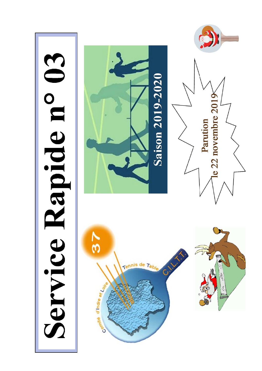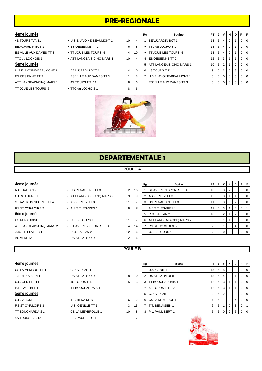# **PRE-REGIONALE**

## U.S.E. AVOINE-BEAUMONT 1 - BEAUJARDIN BCT 1 4 ES OESIENNE TT 2 - FES VILLE AUX DAMES TT 3 3 11 ATT LANGEAIS-CINQ MARS 1 - 4S TOURS T.T. 11 6 8 TT JOUE LES TOURS 5 - TTC du LOCHOIS 1 8 6

- 4S TOURS T.T. 11 U.S.E. AVOINE-BEAUMONT 1 10
	-
- TTC du LOCHOIS 1 ATT LANGEAIS-CINQ MARS 1 40
	-
	-
	-
	-

| 4ème journée             |                            |                |     | Rg | Equipe                          | PT I            |                | JIV            | N | D | PIF |                |
|--------------------------|----------------------------|----------------|-----|----|---------------------------------|-----------------|----------------|----------------|---|---|-----|----------------|
| 4S TOURS T.T. 11         | - U.S.E. AVOINE-BEAUMONT 1 | 10             | 4   |    | <b>BEAUJARDIN BCT 1</b>         | 13              | 514            |                |   |   |     | I 0            |
| BEAUJARDIN BCT 1         | - ES OESIENNE TT 2         | 6              | 8   | ۰  | <b>ITTC du LOCHOIS 1</b>        | 13              | 5              | $\frac{1}{4}$  | 0 |   |     | I 0            |
| ES VILLE AUX DAMES TT 3  | - TT JOUE LES TOURS 5      | $\overline{4}$ | -10 | ۰  | <b>ITT JOUE LES TOURS 5</b>     | 13              | 5              | $^{\circ}$ 4   | 0 |   |     | I O            |
| TTC du LOCHOIS 1         | - ATT LANGEAIS-CINQ MARS 1 | 10             | 4   | 4  | <b>IES OESIENNE TT 2</b>        | 12 <sub>1</sub> | 5 <sub>1</sub> | 3              |   |   |     | I 0            |
| 5ème journée             |                            |                |     | 5. | <b>ATT LANGEAIS-CINQ MARS 1</b> | 10 <sub>1</sub> | 5 <sub>1</sub> | 2              |   |   |     | I 0            |
| U.S.E. AVOINE-BEAUMONT 1 | - BEAUJARDIN BCT 1         | $\overline{4}$ | -10 | 6  | <b>IAS TOURS T.T. 11</b>        | 9               | 5              | 2 <sup>1</sup> | 0 | 3 |     | $\overline{0}$ |
| ES OESIENNE TT 2         | - ES VILLE AUX DAMES TT 3  | 11             |     |    | <b>U.S.E. AVOINE-BEAUMONT 1</b> | 5               | 5 I            | $\overline{0}$ | 0 | 5 |     | I 0            |
| ATT LANGEAIS-CINQ MARS 1 | $-4S$ TOURS T.T. 11        | 8              |     | ۰  | <b>ES VILLE AUX DAMES TT 3</b>  | 5               | 5              |                |   |   |     | I 0            |
|                          |                            |                |     |    |                                 |                 |                |                |   |   |     |                |



# **DEPARTEMENTALE 1**

# **POULE A**

ATT LANGEAIS-CINQ MARS 2 - ST AVERTIN SPORTS TT 4 4 A.S.T.T. ESVRES 1 - R.C. BALLAN 2 12 AS VERETZ TT 3 **- RS ST CYR/LOIRE 2** 12 6

| 4ème journée             |                            |               |    | Rg | Equipe                        |      | PTIJI            | V I | <b>N</b> | D | P I | -F             |
|--------------------------|----------------------------|---------------|----|----|-------------------------------|------|------------------|-----|----------|---|-----|----------------|
| R.C. BALLAN 2            | - US RENAUDINE TT 3        | $\mathcal{P}$ | 16 |    | <b>ST AVERTIN SPORTS TT 4</b> | 13 I | 5                | -3  | 2        | 0 |     | 0 <sup>1</sup> |
| C.E.S. TOURS 1           | - ATT LANGEAIS-CINQ MARS 2 | 9             | 9  |    | AS VERETZ TT 3                | 12 I | 5 <sub>1</sub>   | 3   |          |   |     | $0$   0        |
| ST AVERTIN SPORTS TT 4   | - AS VERETZ TT 3           | 11            |    |    | US RENAUDINE TT 3             |      | 51               | - 3 | 0        |   |     | $0$   0        |
| RS ST CYR/LOIRE 2        | - A.S.T.T. ESVRES 1        | 18            |    |    | A.S.T.T. ESVRES 1             |      | 5                | 3   |          | 0 |     |                |
| 5ème journée             |                            |               |    |    | 5 R.C. BALLAN 2               |      | $10 \mid 5 \mid$ |     |          | 2 |     | $01$ 0         |
| US RENAUDINE TT 3        | $-C.E.S. TOLRS 1$          | 11            |    |    | 6 ATT LANGEAIS-CINQ MARS 2    | 8    | -5               |     |          | 3 |     | $0$   0        |
| ATT LANGEAIS-CINQ MARS 2 | - ST AVERTIN SPORTS TT 4   | 4             | 14 |    | <b>RS ST CYR/LOIRE 2</b>      |      | 51               |     |          | 4 |     | $01$ 0         |
| A.S.T.T. ESVRES 1        | - R.C. BALLAN 2            | 12            | 6  |    | C.E.S. TOURS 1                |      | 5                |     |          |   |     | 0 I O          |
|                          |                            |               |    |    |                               |      |                  |     |          |   |     |                |

# **POULE B**

| 4ème journee |  |
|--------------|--|

| CS LA MEMBROLLE 1 | - C.P. VEIGNE 1     |    |
|-------------------|---------------------|----|
| T.T. BENAISIEN 1  | - RS ST CYR/LOIRE 3 |    |
| U.S. GENILLE TT 1 | - 4S TOURS T.T. 12  | 15 |

- 
- 

4S TOURS T.T. 12 - P.L. PAUL BERT 1 11 7

| 4ème journée      |                     |                |    | Rg | Equipe                  | PT I               | JI | v   | N        | D | P      | l F     |
|-------------------|---------------------|----------------|----|----|-------------------------|--------------------|----|-----|----------|---|--------|---------|
| CS LA MEMBROLLE 1 | $-$ C.P. VEIGNE 1   |                | 11 |    | U.S. GENILLE TT 1       | $15 \mid 5 \mid$   |    | -5  |          | 0 | $01$ 0 |         |
| T.T. BENAISIEN 1  | - RS ST CYR/LOIRE 3 | 8              | 10 |    | 2 RS ST CYR/LOIRE 3     | $13$   5           |    | 4   |          |   |        | 0   0   |
| U.S. GENILLE TT 1 | - 4S TOURS T.T. 12  | 15             | 3  |    | <b>TT BOUCHARDAIS 1</b> | $12$   5           |    | l 3 |          |   |        | 0   0   |
| P.L. PAUL BERT 1  | - TT BOUCHARDAIS 1  | $\overline{7}$ | 11 |    | 4S TOURS T.T. 12        | $12 \mid 5 \mid 3$ |    |     |          |   |        | $0$   0 |
| 5ème journée      |                     |                |    |    | 5 C.P. VEIGNE 1         |                    | 51 |     |          | 3 |        | $0$   0 |
| C.P. VEIGNE 1     | - T.T. BENAISIEN 1  | 6              | 12 |    | 6 CS LA MEMBROLLE 1     |                    | -5 |     | $\Omega$ | 4 | $01$ 0 |         |
| RS ST CYR/LOIRE 3 | - U.S. GENILLE TT 1 | 3              | 15 |    | T.T. BENAISIEN 1        | 6                  | 5  |     | 0        | 3 |        |         |
| TT BOUCHARDAIS 1  | - CS LA MEMBROLLE 1 | 10             | 8  | 8  | P.L. PAUL BERT 1        |                    | 5  |     |          | 5 |        | $0$   0 |
|                   |                     |                |    |    |                         |                    |    |     |          |   |        |         |

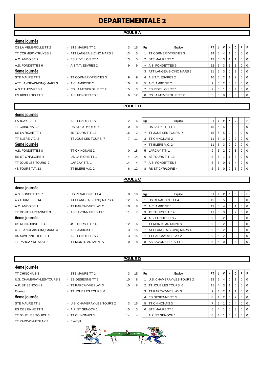# **DEPARTEMENTALE 2**

## **POULE A**

| 4ème journée             |                            |    |                |                |                            |                 |                |                |                |             |             |             |
|--------------------------|----------------------------|----|----------------|----------------|----------------------------|-----------------|----------------|----------------|----------------|-------------|-------------|-------------|
| CS LA MEMBROLLE TT 2     | - STE MAURE TT 2           | 3  | 15             | Rg             | Equipe                     | <b>PT</b>       |                | $\mathsf{v}$   | N              | D           | P           | F           |
| TT CORMERY-TRUYES 3      | - ATT LANGEAIS-CINQ MARS 3 | 13 | 5              |                | <b>TT CORMERY-TRUYES 3</b> | 14              | 5 <sub>1</sub> | $\overline{4}$ |                | $\mathbf 0$ | $\Omega$    | $\Omega$    |
| A.C. AMBOISE 2           | - ES RIDELLOIS TT 1        | 13 | 5              | $\overline{2}$ | <b>STE MAURE TT 2</b>      | 12              | 5 <sub>1</sub> | 3              |                |             | $\mathbf 0$ | $\mathbf 0$ |
| A.S. FONDETTES 6         | - A.S.T.T. ESVRES 2        | 9  | 9              |                | A.S. FONDETTES 6           | 12              | 5 <sub>1</sub> | 3              |                |             | $\mathbf 0$ | 0           |
| 5ème journée             |                            |    |                |                | 3 ATT LANGEAIS-CINQ MARS 3 | 11              | 5 <sub>1</sub> | 3              | 0              | 2           | 0           | 0           |
| STE MAURE TT 2           | - TT CORMERY-TRUYES 3      | 9  | 9              | 4              | A.S.T.T. ESVRES 2          | 10              | 5 <sup>5</sup> | 2              |                | 2           | 0           | 0           |
| ATT LANGEAIS-CINQ MARS 3 | - A.C. AMBOISE 2           | 10 | 8              | 5              | A.C. AMBOISE 2             | 9               | 5 <sup>1</sup> | 2              | 0              | 3           | 0           | 0           |
| A.S.T.T. ESVRES 2        | - CS LA MEMBROLLE TT 2     | 15 | 3              |                | <b>ES RIDELLOIS TT 1</b>   | $\overline{7}$  | 5 <sup>5</sup> |                | $\mathbf 0$    | 4           | $\mathbf 0$ | $\mathbf 0$ |
| <b>ES RIDELLOIS TT 1</b> | - A.S. FONDETTES 6         | 6  | 12             |                | 8 CS LA MEMBROLLE TT 2     | 5               | 5 <sub>1</sub> | $\mathbf 0$    | 0              | 5           | $\mathbf 0$ | $\Omega$    |
|                          |                            |    |                |                |                            |                 |                |                |                |             |             |             |
|                          |                            |    | <b>POULE B</b> |                |                            |                 |                |                |                |             |             |             |
| 4ème journée             |                            |    |                |                |                            |                 |                |                |                |             |             |             |
| LARCAY T.T. 1            | - A.S. FONDETTES 8         | 12 | 6              | Rg             | Equipe                     | PT.             | JI             | V              | N              | D           | P.          | F           |
| <b>TT CHINONAIS 2</b>    | - RS ST CYR/LOIRE 4        | 10 | 8              |                | US LA RICHE TT 1           | 15 <sup>1</sup> | 5 <sub>1</sub> | 5              | $\Omega$       | $\mathbf 0$ | $\mathbf 0$ | $\mathbf 0$ |
| US LA RICHE TT 1         | - 4S TOURS T.T. 13         | 16 | $\overline{2}$ |                | <b>TT JOUE LES TOURS 7</b> | 15              | 5 <sub>1</sub> | 5              | $\mathbf 0$    | $\mathbf 0$ | 0           | $\mathbf 0$ |
| TT BLERE V.C. 2          | - TT JOUE LES TOURS 7      | 7  | 11             |                | 3 <b>ITT CHINONAIS 2</b>   | 11 <sup>1</sup> | 5 <sup>1</sup> | 3 <sup>1</sup> | $\overline{0}$ | 2           | 0           | $\Omega$    |

| A.S. FONDETTES 8         |  |
|--------------------------|--|
| <b>RS ST CYR/LOIRE 4</b> |  |
| TT JOUE LES TOURS 7      |  |
| 4S TOURS T.T. 13         |  |

# - TT CHINONAIS 2 0 18 - US LA RICHE TT 1 4 14

| LARCAY T.T. 1       | - A.S. FONDETTES 8    | 12 | 6  | Rg | Equipe                     | <b>PT</b>       |    | V <sub>1</sub> | N I            | D I            | PIF |                |
|---------------------|-----------------------|----|----|----|----------------------------|-----------------|----|----------------|----------------|----------------|-----|----------------|
| TT CHINONAIS 2      | - RS ST CYR/LOIRE 4   | 10 | 8  |    | US LA RICHE TT 1           | 15              | 5  | 5              | $\overline{0}$ | $\circ$ 1      |     | $\overline{0}$ |
| US LA RICHE TT 1    | - 4S TOURS T.T. 13    | 16 | 2  |    | <b>IT JOUE LES TOURS 7</b> | 15 <sup>1</sup> |    | 55             | $\Omega$       | $\Omega$ I     |     | $\overline{0}$ |
| TT BLERE V.C. 2     | - TT JOUE LES TOURS 7 | 7  | 11 | 3  | <b>TT CHINONAIS 2</b>      | 11              |    | 5 3 1          | $\Omega$       | 2              |     | $\overline{0}$ |
| 5ème journée        |                       |    |    |    | TT BLERE V.C. 2            |                 |    | 5 3 1          | $\Omega$       | 2              |     | $\overline{0}$ |
| A.S. FONDETTES 8    | - TT CHINONAIS 2      | 0  | 18 |    | 5 LARCAY T.T. 1            | 9               | 5  | 2 <sup>1</sup> | $\Omega$       | $\mathbf{3}$   |     | $\overline{0}$ |
| RS ST CYR/LOIRE 4   | - US LA RICHE TT 1    | 4  | 14 |    | 6 4S TOURS T.T. 13         | 8               | 51 |                |                | 3 I            |     | $\overline{0}$ |
| TT JOUE LES TOURS 7 | - LARCAY T.T. 1       | 14 | 4  |    | A.S. FONDETTES 8           | 6               | 5  | $\mathbf 0$    |                | 4              |     | I 0            |
| 4S TOURS T.T. 13    | - TT BLERE V.C. 2     | 6  | 12 |    | 8 RS ST CYR/LOIRE 4        | 5               |    | 50             |                | 5 <sub>1</sub> |     |                |

#### **POULE C**

**POULE D**

# **4ème journée** A.S. FONDETTES 7 **- US RENAUDINE TT 4** 8 1 4S TOURS T.T. 14 - ATT LANGEAIS-CINQ MARS 4 12 A.C. AMBOISE 1 - TT PARCAY-MESLAY 2 2 2 10 TT MONTS ARTANNES 3 - AS SAVONNIERES TT 1 3 11 **5ème journée** US RENAUDINE TT 4 - 4S TOURS T.T. 14 12 ATT LANGEAIS-CINQ MARS 4 - A.C. AMBOISE 1 3 4 : AS SAVONNIERES TT 1 - A.S. FONDETTES 7 3 1 TT PARCAY-MESLAY 2 - TT MONTS ARTANNES 3 3 40

| 0 | Rg | Equipe                   | PT |   | ν | N | D | Ρ | F        |
|---|----|--------------------------|----|---|---|---|---|---|----------|
| 6 |    | US RENAUDINE TT 4        | 15 | 5 | 5 | 0 | 0 | 0 | 0        |
| 8 | 2  | A.C. AMBOISE 1           | 13 | 5 | 4 | 0 | 1 | 0 | 0        |
| 7 | 3  | 4S TOURS T.T. 14         | 11 | 5 | 3 | 0 | 2 | 0 | 0        |
|   | 4  | A.S. FONDETTES 7         | 9  | 5 | 2 | 0 | 3 | 0 | 0        |
| 6 |    | TT MONTS ARTANNES 3      | 9  | 5 | 2 | 0 | 3 | 0 | $\Omega$ |
| 5 |    | ATT LANGEAIS-CINQ MARS 4 | 9  | 5 | 2 | 0 | 3 | 0 | $\Omega$ |
| 5 |    | TT PARCAY-MESLAY 2       | 9  | 5 | 2 | 0 | 3 | 0 | $\Omega$ |
| 8 | 8  | AS SAVONNIERES TT 1      | 5  | 5 | 0 | O | 5 | 0 | $\Omega$ |

### **4ème journée**

| <b>TT CHINONAIS 3</b>     |
|---------------------------|
| U.S. CHAMBRAY-LES-TOURS 2 |
| A.P. ST SENOCH 1          |
| Exempt                    |
|                           |
| 5ème journée              |
| STF MAURE TT 1            |
| <b>FS OFSIENNE TT 3</b>   |

- 
- 
- 
- 
- TT PARCAY-MESLAY 3 Exempt



# - STE MAURE TT 1  $\begin{array}{ccc} 3 & 15 & \text{Rg} \\ - & \text{Bg} \end{array}$  Rg Equipe PT J V N D - ES OESIENNE TT 3 10 8  $\vert$  1 U.S. CHAMBRAY-LES-TOURS 2 13 5 4 0 - TT PARCAY-MESLAY 3 10 8 2 TT JOUE LES TOURS 6 11 4 3 1 0 0 0 0 - TT JOUE LES TOURS 6 3 TT PARCAY-MESLAY 3 9 4 2 1 1 0 0 4 ES OESIENNE TT 3 **8 4 2 0 2 0 0** - U.S. CHAMBRAY-LES-TOURS 2 3 15 | 5 | TT CHINONAIS 3  $\begin{bmatrix} 7 & 5 & 1 & 0 & 4 & 0 & 0 \\ 7 & 6 & 7 & 5 & 1 & 0 & 4 & 0 \end{bmatrix}$  $\overline{AB}$  - A.P. ST SENOCH 1 15 3 6 STE MAURE TT 1 6 4 1 0 3 0 0 0 - TT CHINONAIS 3 14 4 - A.P. ST SENOCH 1 6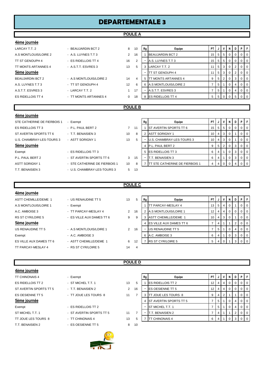# **DEPARTEMENTALE 3**

# **POULE A**

| 4ème journée                |                         |                |                |    |                         |                 |                |                |             |   |                |                |
|-----------------------------|-------------------------|----------------|----------------|----|-------------------------|-----------------|----------------|----------------|-------------|---|----------------|----------------|
| LARCAY T.T. 2               | - BEAUJARDIN BCT 2      | 8              | 10             | Rg | Equipe                  | PT I            | J              | V              | N           | D | P.             | F.             |
| A.S MONTLOUIS/LOIRE 2       | - A.S. LUYNES T.T 3     | $\overline{2}$ | 16             |    | <b>BEAUJARDIN BCT 2</b> | 15 <sup>1</sup> | 5 <sub>1</sub> | 5              | 0           | 0 | $\mathbf{0}$   | $\overline{0}$ |
| TT ST GENOUPH 4             | - ES RIDELLOIS TT 4     | 16             | $\overline{2}$ |    | A.S. LUYNES T.T 3       | 15 <sup>1</sup> |                | $5 \mid 5$     | 0           | 0 | $\overline{0}$ | $\overline{0}$ |
| TT MONTS ARTANNES 4         | - A.S.T.T. ESVRES 3     | 13             | 5              | з  | LARCAY T.T. 2           | 11              | 5 <sub>1</sub> | 3              | 0           | 2 | $\overline{0}$ | $\mathbf 0$    |
| 5ème journée                |                         |                |                | ٠  | <b>ITT ST GENOUPH 4</b> | 11              |                | $5 \mid 3$     | $\mathbf 0$ | 2 | 0 <sup>1</sup> | $\mathbf 0$    |
| <b>BEAUJARDIN BCT 2</b>     | - A.S MONTLOUIS/LOIRE 2 | 14             | 4              | 5  | TT MONTS ARTANNES 4     | 9               | 5 <sup>1</sup> | $\overline{2}$ | 0           | 3 | $\mathbf{0}$   | $\overline{0}$ |
| A.S. LUYNES T.T 3           | - TT ST GENOUPH 4       | 12             | 6              | 6  | A.S MONTLOUIS/LOIRE 2   |                 | 5 <sup>5</sup> |                | 0           | 4 | $\mathbf{0}$   | $\mathbf 0$    |
| A.S.T.T. ESVRES 3           | - LARCAY T.T. 2         |                | 17             |    | A.S.T.T. ESVRES 3       | 7               | 5 <sup>5</sup> |                | 0           | 4 | $\overline{0}$ | $\overline{0}$ |
| ES RIDELLOIS TT 4           | - TT MONTS ARTANNES 4   | $\Omega$       | 18             |    | 8 ES RIDELLOIS TT 4     | 5 <sup>5</sup>  | 5 <sub>1</sub> | 0              | 0           | 5 | $\mathbf{0}$   | $\overline{0}$ |
|                             |                         |                |                |    |                         |                 |                |                |             |   |                |                |
|                             |                         | <b>POULE B</b> |                |    |                         |                 |                |                |             |   |                |                |
| 4ème journée                |                         |                |                |    |                         |                 |                |                |             |   |                |                |
| STE CATHERINE DE FIERBOIS 1 | - Exempt                |                |                | Rg | Equipe                  | PT I            | $J \mid$       | V              | N           | D | P I            | F              |

| STE CATHERINE DE FIERBUIST |
|----------------------------|
| <b>FS RIDELLOIS TT 3</b>   |
| ST AVERTIN SPORTS TT 6     |
| U.S. CHAMBRAY-LES-TOURS 3  |
| 5ème journée               |
| Exempt                     |
| PI PAUL BERT 2             |
| <b>ASTT SORIGNY 1</b>      |
| T T BENAISIEN 3            |

# - P.L. PAUL BERT 2 7 11 - T.T. BENAISIEN 3 10 8 - ASTT SORIGNY 1 13 5 - ES RIDELLOIS TT 3 - ST AVERTIN SPORTS TT 6 3 15 - STE CATHERINE DE FIERBOIS 1 10 8 - U.S. CHAMBRAY-LES-TOURS 3 5 13

| STE CATHERINE DE FIERBOIS 1 | - Exempt                      |    |    | Rg | Equipe                                 | PTIJ            |              | v     | N   | D | PF     |                |
|-----------------------------|-------------------------------|----|----|----|----------------------------------------|-----------------|--------------|-------|-----|---|--------|----------------|
| ES RIDELLOIS TT 3           | - P.L. PAUL BERT 2            |    | 11 |    | <b>IST AVERTIN SPORTS TT 6</b>         |                 | $15$   5     | -51   | 0   |   |        | 0   0          |
| ST AVERTIN SPORTS TT 6      | - T.T. BENAISIEN 3            | 10 | 8  |    | <b>ASTT SORIGNY 1</b>                  |                 | $10$   4   3 |       | - 0 |   |        | $\overline{0}$ |
| U.S. CHAMBRAY-LES-TOURS 3   | - ASTT SORIGNY 1              | 13 | 5  |    | U.S. CHAMBRAY-LES-TOURS 3              | 10 <sub>1</sub> |              | 4 3 1 |     |   |        | O I O          |
| 5ème journée                |                               |    |    |    | P.L. PAUL BERT 2                       |                 | 5            |       |     | 3 | $01$ 0 |                |
| Exempt                      | - ES RIDELLOIS TT 3           |    |    | 5. | <b>IES RIDELLOIS TT 3</b>              | 6               |              |       |     | 3 |        | 0 I O          |
| P.L. PAUL BERT 2            | - ST AVERTIN SPORTS TT 6      | 3  | 15 |    | T.T. BENAISIEN 3                       | 6               |              |       |     | 3 |        | 0 I O          |
| ASTT SORIGNY 1              | - STE CATHERINE DE FIERBOIS 1 | 10 |    |    | <b>ITT STE CATHERINE DE FIERBOIS 1</b> |                 |              |       |     |   |        | 0 I            |
|                             |                               |    |    |    |                                        |                 |              |       |     |   |        |                |

### **POULE C**

| 4ème journée                |                           |    |    |    |                                  |                 |    |   |                |   |   |     |
|-----------------------------|---------------------------|----|----|----|----------------------------------|-----------------|----|---|----------------|---|---|-----|
| <b>ASTT CHEMILLE/DEME 1</b> | - US RENAUDINE TT 5       | 13 | 5  | Rg | Equipe                           | PT.             | J  | v | N I            | D | P |     |
| A.S MONTLOUIS/LOIRE 1       | - Exempt                  |    |    |    | <b>ITT PARCAY-MESLAY 4</b>       | 13              | -5 | 4 | 0              |   | 0 | l O |
| A.C. AMBOISE 3              | - TT PARCAY-MESLAY 4      | 2  | 16 |    | <b>A.S MONTLOUIS/LOIRE 1</b>     | 12 <sup>2</sup> |    | 4 | 0 <sup>1</sup> |   |   | l O |
| RS ST CYR/LOIRE 5           | - ES VILLE AUX DAMES TT 6 | 9  | 9  |    | ASTT CHEMILLE/DEME 1             | 10              | 4  | 3 | 0 <sup>1</sup> |   | 0 | 1 O |
| 5ème journée                |                           |    |    |    | 4 <b>ES VILLE AUX DAMES TT 6</b> |                 |    |   |                |   | 0 | - 0 |
| US RENAUDINE TT 5           | - A.S MONTLOUIS/LOIRE 1   | 2  | 16 |    | <b>US RENAUDINE TT 5</b>         |                 | 5  |   | $\overline{0}$ | 4 | 0 | - 0 |
| Exempt                      | $-$ A.C. AMBOISE 3        |    |    | 6  | A.C. AMBOISE 3                   | 6               |    |   | $\overline{0}$ | 3 |   | -0  |
| ES VILLE AUX DAMES TT 6     | - ASTT CHEMILLE/DEME 1    | 6  | 12 |    | <b>RS ST CYR/LOIRE 5</b>         | 5               |    |   |                |   |   |     |
| TT PARCAY-MESLAY 4          | - RS ST CYR/LOIRE 5       | 14 | 4  |    |                                  |                 |    |   |                |   |   |     |
|                             |                           |    |    |    |                                  |                 |    |   |                |   |   |     |

**POULE D**

## **4ème journée**

| <b>TT CHINONAIS 4</b>    |  |
|--------------------------|--|
| <b>ES RIDELLOIS TT 2</b> |  |
| ST AVERTIN SPORTS TT 5   |  |
| <b>ES OESIENNE TT 5</b>  |  |
| 5ème journée             |  |
| Exempt                   |  |
| ST MICHEL T.T. 1         |  |
| TT JOUE LES TOURS 8      |  |
| T.T. BENAISIEN 2         |  |

| - Exempt                 |
|--------------------------|
| - ST MICHEITT 1          |
| - TT BENAISIEN 2         |
| - TT JOUE LES TOURS 8    |
|                          |
| $-$ FS RIDELLOIS TT 2    |
| - ST AVERTIN SPORTS TT 5 |
| - TT CHINONAIS 4         |
|                          |

- ES OESIENNE TT 5 8 10



| 4eme journee           |                          |    |    |    |                                |                  |                |     |       |          |                |                |
|------------------------|--------------------------|----|----|----|--------------------------------|------------------|----------------|-----|-------|----------|----------------|----------------|
| TT CHINONAIS 4         | - Exempt                 |    |    | Rg | Equipe                         | PT I             |                | JIV | - N-I | D        | PIF            |                |
| ES RIDELLOIS TT 2      | - ST MICHEL T.T. 1       | 13 | -5 |    | <b>ES RIDELLOIS TT 2</b>       | 12 <sup>12</sup> | 4 I            | 4   |       | $\Omega$ | 0 <sub>0</sub> |                |
| ST AVERTIN SPORTS TT 5 | - T.T. BENAISIEN 2       | 2  | 16 |    | <b>ES OESIENNE TT 5</b>        | 12               | 4 I            | 4   |       |          | $01$ 0         |                |
| ES OESIENNE TT 5       | - TT JOUE LES TOURS 8    | 11 |    |    | <b>TT JOUE LES TOURS 8</b>     | 9                | $\overline{4}$ | 2   |       |          |                | $\overline{0}$ |
| 5ème journée           |                          |    |    |    | <b>IST AVERTIN SPORTS TT 5</b> |                  | 5 I            |     |       | 4        | 0 <sub>1</sub> |                |
| Exempt                 | - ES RIDELLOIS TT 2      |    |    |    | ST MICHEL T.T. 1               |                  | 5              |     |       |          |                | $\overline{0}$ |
| ST MICHEL T.T. 1       | - ST AVERTIN SPORTS TT 5 | 11 |    | ۰  | T.T. BENAISIEN 2               |                  | 4              |     |       |          | 0 <sub>0</sub> |                |
| TT JOUE LES TOURS 8    | - TT CHINONAIS 4         | 13 |    |    | <b>TT CHINONAIS 4</b>          | 6                |                |     |       | 3        | 0 <sub>0</sub> |                |
|                        |                          |    |    |    |                                |                  |                |     |       |          |                |                |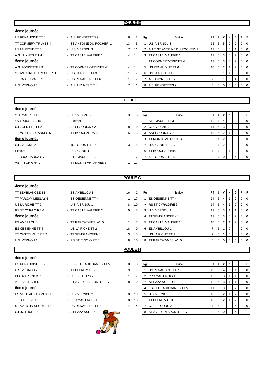## **POULE E**

| 4ème journée              |                          |                |    |    |                                     |           |                |                |                |                |          |     |
|---------------------------|--------------------------|----------------|----|----|-------------------------------------|-----------|----------------|----------------|----------------|----------------|----------|-----|
| US RENAUDINE TT 6         | - A.S. FONDETTES 9       | 16             | 2  | Rg | Equipe                              | <b>PT</b> | J              | v              | N              | D              | P        |     |
| TT CORMERY-TRUYES 4       | - ST ANTOINE DU ROCHER 1 | 13             | 5  |    | U.S. VERNOU 3                       | 15        | 5              | 5 <sup>1</sup> | $\overline{0}$ | -0             |          |     |
| US LA RICHE TT 3          | - U.S. VERNOU 3          | $7^{\circ}$    | 11 |    | <b>A.T.T.ST ANTOINE DU ROCHER 1</b> | 13        | 5              | $\overline{4}$ |                |                |          | -0  |
| A.S. LUYNES T.T 4         | - TT CASTELVALERIE 1     | $\overline{4}$ | 14 | 3  | <b>ITT CASTELVALERIE 1</b>          | 11        | 5 <sup>5</sup> | 3 <sup>1</sup> | $\overline{0}$ | 2              |          | -0  |
| 5ème journée              |                          |                |    |    | [ CORMERY-TRUYES 4                  | 11        | 5              | 3 <sup>1</sup> | $\overline{0}$ |                |          | -0  |
| A.S. FONDETTES 9          | - TT CORMERY-TRUYES 4    | $\overline{4}$ | 14 |    | 5 US RENAUDINE TT 6                 | 10        | -5             | $\overline{2}$ |                | $\overline{2}$ |          | - 0 |
| ST ANTOINE DU ROCHER 1    | - US LA RICHE TT 3       | 11             |    |    | 6 IUS LA RICHE TT 3                 | 8         | 5              |                |                | 3              | $\Omega$ | - 0 |
| <b>TT CASTELVALERIE 1</b> | - US RENAUDINE TT 6      | 11             |    |    | A.S. LUYNES T.T 4                   |           | 5              |                |                |                |          | -0  |
| U.S. VERNOU 3             | - A.S. LUYNES T.T 4      | 17             |    | 8  | A.S. FONDETTES 9                    | 5         | 5              | $\Omega$       |                | 5              |          |     |
|                           |                          |                |    |    |                                     |           |                |                |                |                |          |     |

## **POULE F**

# **4ème journée** STE MAURE TT 3 - C.P. VEIGNE 2 13 5 **Rg** Baulpe **PT J V N D P** 4S TOURS T.T. 15 - Exempt Resemblance Law Contract Law Law STOURS T.T. 15 - 12 4 4 0 0 0 U.S. GENILLE TT 2 - ASTT SORIGNY 2 8 10 2 C.P. VEIGNE 2 11 5 3 0 2 0 0 0 TT MONTS ARTANNES 5 - TT BOUCHARDAIS 2 15 3 3 ASTT SORIGNY 2 10 5 2 1 2 0 0 **5ème journée** 4 TT MONTS ARTANNES 5 8 4 2 0 2 0 0 C.P. VEIGNE 2 - 4S TOURS T.T. 15 13 5 - U.S. GENILLE TT 2 8 4 2 0 2 0 0 0 Exempt  $-$  U.S. GENILLE TT 2 6  $\sqrt{6}$  TT BOUCHARDAIS 2  $\sqrt{7}$   $\sqrt{4}$  1  $\sqrt{2}$  0 0 TT BOUCHARDAIS 2 - STE MAURE TT 3 1 17 7 4S TOURS T.T. 15 4 4 0 0 4 0 ASTT SORIGNY 2 - TT MONTS ARTANNES 5 1 17

# **POULE G**

| 4ème journée            |                      |    |          |    |                            |                 |   |   |   |                |                |
|-------------------------|----------------------|----|----------|----|----------------------------|-----------------|---|---|---|----------------|----------------|
| <b>TT SEMBLANCEEN 1</b> | - ES AMBILLOU 1      | 16 | 2        | Rg | Equipe                     | PT I            | J | V | N | D              | PF             |
| TT PARCAY-MESLAY 5      | - ES OESIENNE TT 4   |    | 17       |    | <b>IES OESIENNE TT 4</b>   | 14 I            | 5 | 4 |   | $\mathbf{0}$   | $0$   0        |
| US LA RICHE TT 2        | - U.S. VERNOU 1      | 8  | 10       | ۰  | <b>RS ST CYR/LOIRE 6</b>   | 14 I            | 5 | 4 |   | $\overline{0}$ | $0$   0        |
| RS ST CYR/LOIRE 6       | - TT CASTELVALERIE 2 | 10 | 8        | 3  | U.S. VERNOU 1              | 12 <sub>1</sub> | 5 | 3 |   |                | $0$   0        |
| 5ème journée            |                      |    |          | 4  | <b>ITT SEMBLANCEEN 1</b>   | 11 <sup>1</sup> | 5 | 3 | 0 | $\overline{2}$ | $0$   0        |
| ES AMBILLOU 1           | - TT PARCAY-MESLAY 5 | 11 |          | 5  | <b>ITT CASTELVALERIE 2</b> | 10 <sub>l</sub> | 5 | 2 |   | 2              | 0 <sub>0</sub> |
| <b>ES OESIENNE TT 4</b> | - US LA RICHE TT 2   | 18 | $\Omega$ | 6  | <b>ES AMBILLOU 1</b>       |                 | 5 |   | 0 | 4              | $0 \mid 0$     |
| TT CASTELVALERIE 2      | - TT SEMBLANCEEN 1   | 13 | 5        |    | US LA RICHE TT 2           |                 | 5 |   | 0 |                | $0$   0        |
| U.S. VERNOU 1           | - RS ST CYR/LOIRE 6  | 8  | 10       | 8  | <b>ITT PARCAY-MESLAY 5</b> | 5               | 5 |   |   | 5              | $0$   $0$      |
|                         |                      |    |          |    |                            |                 |   |   |   |                |                |
| <b>POULE H</b>          |                      |    |          |    |                            |                 |   |   |   |                |                |

#### **4ème journée**

| US RENAUDINE TT 7       | - ES VILLE AUX DAMES TT 5 | 10 |
|-------------------------|---------------------------|----|
| U.S. VERNOU 2           | - TT BLERE V.C. 3         | 9  |
| <b>PPC MARTINOIS 1</b>  | - C.E.S. TOURS 2          | 11 |
| ATT AZAY/CHER 1         | - ST AVERTIN SPORTS TT 7  | 18 |
| 5ème journée            |                           |    |
| ES VILLE AUX DAMES TT 5 | - U.S. VERNOU 2           | 8  |
| TT BLERE V.C. 3         | - PPC MARTINOIS 1         | 8  |
| ST AVERTIN SPORTS TT 7  | - US RENAUDINE TT 7       | 4  |
| C E S TOURS 2           | - ATT AZAY/CHER           | 7  |



| US RENAUDINE TT 7       | - ES VILLE AUX DAMES TT 5 | 10 | 8        | Rg | Equipe                            | PT I            |                    |       | N | D | PIF            |                |
|-------------------------|---------------------------|----|----------|----|-----------------------------------|-----------------|--------------------|-------|---|---|----------------|----------------|
| U.S. VERNOU 2           | $-$ TT BLERE V.C. 3       | 9  | 9        |    | <b>US RENAUDINE TT 7</b>          | 13 <sub>1</sub> | 5 <sup>1</sup>     | 4     |   |   | $\Omega$       | $\overline{0}$ |
| PPC MARTINOIS 1         | $-C.E.S. TOUNS 2$         | 11 |          |    | <b>PPC MARTINOIS 1</b>            | 12 I            | 5 3                |       |   |   | 0 <sup>1</sup> | $\Omega$       |
| ATT AZAY/CHER 1         | - ST AVERTIN SPORTS TT 7  | 18 | $\Omega$ |    | ATT AZAY/CHER 1                   | 12 <sub>1</sub> |                    | 5 3   |   |   | $\Omega$       | $\overline{0}$ |
| 5ème journée            |                           |    |          |    | 4 <b>IES VILLE AUX DAMES TT 5</b> |                 |                    | 5 3 1 |   |   |                | 0 <sub>0</sub> |
| ES VILLE AUX DAMES TT 5 | - U.S. VERNOU 2           | 8  | 10       |    | 5 U.S. VERNOU 2                   |                 | $10 \mid 5 \mid 2$ |       |   | 2 |                | $01$ 0         |
| TT BLERE V.C. 3         | - PPC MARTINOIS 1         | 8  | 10       | ۰  | TT BLERE V.C. 3                   | 10 <sup>1</sup> | 5 <sub>1</sub>     |       |   |   | $\Omega$       | $\Omega$       |
| ST AVERTIN SPORTS TT 7  | - US RENAUDINE TT 7       | 4  | 14       |    | C.E.S. TOURS 2                    |                 | 5 <sup>1</sup>     |       |   | 4 | $\Omega$       | $\Omega$       |
| C.E.S. TOURS 2          | - ATT AZAY/CHER           |    | 11       |    | <b>IST AVERTIN SPORTS TT 7</b>    | 4               | 5 <sub>1</sub>     |       |   |   |                |                |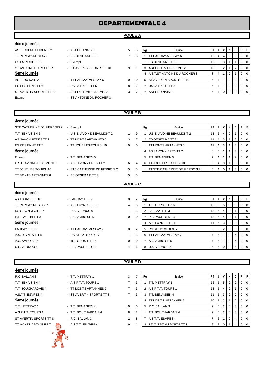# **DEPARTEMENTALE 4**

# **POULE A**

| 4ème journee |
|--------------|
|              |

| ASII CHEMILLE/DEME 2    |
|-------------------------|
| TT PARCAY-MESLAY 6      |
| US LA RICHE TT 5        |
| ST ANTOINE DU ROCHER 3  |
| <b>5ème journée</b>     |
| ASTT DU NAIS 2          |
| ES OESIENNE TT 6        |
| ST AVERTIN SPORTS TT 10 |
| Exempt                  |
|                         |

| 4eme journee            |                           |
|-------------------------|---------------------------|
| ASTT CHEMILLE/DEME 2    | - ASTT DU NAIS 2          |
| TT PARCAY-MESLAY 6      | - ES OESIENNE TT 6        |
| US LA RICHE TT 5        | - Exempt                  |
| ST ANTOINE DU ROCHER 3  | - ST AVERTIN SPORTS TT 10 |
| <u>5ème journée</u>     |                           |
| ASTT DU NAIS 2          | - TT PARCAY-MESLAY 6      |
| ES OESIENNE TT 6        | - US LA RICHE TT 5        |
| ST AVERTIN SPORTS TT 10 | - ASTT CHEMILLE/DEME 2    |
| Exempt                  | - ST ANTOINE DU ROCHER 3  |

| ASTT CHEMILLE/DEME 2    | - ASTT DU NAIS 2          | 5.       | 5  | Rg | Equipe                              | PT                 |   |     | N | D | PIF            |     |
|-------------------------|---------------------------|----------|----|----|-------------------------------------|--------------------|---|-----|---|---|----------------|-----|
| TT PARCAY-MESLAY 6      | - ES OESIENNE TT 6        |          |    |    | TT PARCAY-MESLAY 6                  | 12 <sub>1</sub>    |   | 414 |   |   | 0 <sub>0</sub> |     |
| US LA RICHE TT 5        | - Exempt                  |          |    |    | <b>IES OESIENNE TT 6</b>            | 12 I               |   | 5 3 |   |   |                | l O |
| ST ANTOINE DU ROCHER 3  | - ST AVERTIN SPORTS TT 10 | 9        |    |    | <b>ASTT CHEMILLE/DEME 2</b>         | $10 \mid 5 \mid 2$ |   |     |   |   |                | l O |
| 5ème journée            |                           |          |    |    | <b>A.T.T.ST ANTOINE DU ROCHER 3</b> | 8                  |   |     |   |   |                | ∣ O |
| ASTT DU NAIS 2          | - TT PARCAY-MESLAY 6      | $\Omega$ | 10 |    | 5 IST AVERTIN SPORTS TT 10          | 6                  | 4 |     |   | 3 | 0 <sub>0</sub> |     |
| ES OESIENNE TT 6        | - US LA RICHE TT 5        | 8        | 2  |    | US LA RICHE TT 5                    | 6                  |   |     |   |   |                | I O |
| ST AVERTIN SPORTS TT 10 | - ASTT CHEMILLE/DEME 2    | 3        |    | ۰  | ASTT DU NAIS 2                      | 6                  |   |     |   |   | 0 <sub>0</sub> |     |
|                         |                           |          |    |    |                                     |                    |   |     |   |   |                |     |

# **POULE B**

| 4ème journée                |                               |                 |          |    |                                        |           |                |              |   |   |    |     |
|-----------------------------|-------------------------------|-----------------|----------|----|----------------------------------------|-----------|----------------|--------------|---|---|----|-----|
| STE CATHERINE DE FIERBOIS 2 | - Exempt                      |                 |          | Rg | Equipe                                 | <b>PT</b> | J              | v            | N | D | P. |     |
| T.T. BENAISIEN 5            | - U.S.E. AVOINE-BEAUMONT 2    |                 | 9        |    | <b>U.S.E. AVOINE-BEAUMONT 2</b>        | 13        | 5              | 4            |   |   |    | -0  |
| AS SAVONNIERES TT 2         | - TT MONTS ARTANNES 6         | 3               | 7        | 2  | <b>IES OESIENNE TT 7</b>               | 11        | $\overline{4}$ | 3            |   |   | 0  | -0  |
| ES OESIENNE TT 7            | - TT JOUE LES TOURS 10        | 10              | $\Omega$ |    | <b>ITT MONTS ARTANNES 6</b>            | 11        | $\overline{4}$ | 3            |   |   |    | - 0 |
| 5ème journée                |                               |                 |          |    | 4 AS SAVONNIERES TT 2                  | 8         | 5              |              |   |   |    | -0  |
| Exempt                      | - T.T. BENAISIEN 5            |                 |          |    | 5 IT.T. BENAISIEN 5                    | 7         | 4              |              |   | 2 |    | -0  |
| U.S.E. AVOINE-BEAUMONT 2    | - AS SAVONNIERES TT 2         | 6               | 4        | 6  | <b>ITT JOUE LES TOURS 10</b>           | 5         | 4              | $\mathbf{0}$ |   | 3 |    | -0  |
| TT JOUE LES TOURS 10        | - STE CATHERINE DE FIERBOIS 2 | $5\overline{5}$ | 5        |    | <b>ITT STE CATHERINE DE FIERBOIS 2</b> | 5         | 4              |              |   |   |    |     |
| TT MONTS ARTANNES 6         | - ES OESIENNE TT 7            | 5               | 5        |    |                                        |           |                |              |   |   |    |     |
|                             |                               | PQIII E C       |          |    |                                        |           |                |              |   |   |    |     |

# **4ème journée**

#### **POULE C**

| 4eme journee       |                      |                |                |    |                            |                 |        |            |          |     |        |         |
|--------------------|----------------------|----------------|----------------|----|----------------------------|-----------------|--------|------------|----------|-----|--------|---------|
| 4S TOURS T.T. 16   | - LARCAY T.T. 3      | 8              | 2              | Rg | Equipe                     | PT I            | J      | <b>V</b>   | N        | D I | PF     |         |
| TT PARCAY MESLAY 7 | - A.S. LUYNES T.T 5  | 4              | 6              |    | 4S TOURS T.T. 16           | 15 <sup>1</sup> | $-151$ | 5          |          | 0   |        | $01$ 0  |
| RS ST CYR/LOIRE 7  | - U.S. VERNOU 6      | $\overline{7}$ | 3              |    | LARCAY T.T. 3              | 13 <sup>1</sup> | 5      | 4          | 0        |     |        | $0$   0 |
| P.L. PAUL BERT 3   | - A.C. AMBOISE 5     | 10             | $\Omega$       |    | P.L. PAUL BERT 3           | 13 <sup>1</sup> | 5      | 4          | 0        |     |        | $0$   0 |
| 5ème journée       |                      |                |                |    | A.S. LUYNES T.T 5          |                 | 5      | l 3        | $\Omega$ | 2   |        | $0$   0 |
| LARCAY T.T.3       | - TT PARCAY MESLAY 7 | 8              | $\overline{2}$ |    | 5 IRS ST CYR/LOIRE 7       | 9               |        | $5 \mid 2$ | $\Omega$ | 3   | $01$ 0 |         |
| A.S. LUYNES T.T 5  | - RS ST CYR/LOIRE 7  | $\overline{7}$ | 3              | 6  | <b>ITT PARCAY MESLAY 7</b> |                 | 5      |            | 0        | 4   | $01$ 0 |         |
| A.C. AMBOISE 5     | - 4S TOURS T.T. 16   | 0              | 10             |    | A.C. AMBOISE 5             |                 | 5      |            | 0        |     |        | $01$ 0  |
| U.S. VERNOU 6      | - P.L. PAUL BERT 3   | 4              | 6              |    | U.S. VERNOU 6              | 5.              | 5      |            |          | 5   |        | $01$ 0  |
|                    |                      |                |                |    |                            |                 |        |            |          |     |        |         |

# **POULE D**

| 4ème journée               |                          |                |          |    |                               |                 |                |                |          |              |                |
|----------------------------|--------------------------|----------------|----------|----|-------------------------------|-----------------|----------------|----------------|----------|--------------|----------------|
| R.C. BALLAN 3              | - T.T. METTRAY 1         | 3              |          | Rg | Equipe                        | PT I            | J              | V              | N        | D            | PF             |
| T.T. BENAISIEN 4           | - A.S.P.T.T. TOURS 1     | $\overline{7}$ | 3        |    | T.T. METTRAY 1                | 15 <sup>1</sup> | 5 <sub>1</sub> | - 5            | 0        | 0            | $0$   0        |
| T.T. BOUCHARDAIS 4         | - TT MONTS ARTANNES 7    | $\overline{7}$ | 3        | 2  | A.S.P.T.T. TOURS 1            | 13 <sup>1</sup> | 5              | 4              | $\Omega$ |              | 0 <sub>0</sub> |
| A.S.T.T. ESVRES 4          | - ST AVERTIN SPORTS TT 8 | $\overline{7}$ | 3        | 3  | <b>IT.T. BENAISIEN 4</b>      | 11 <sub>1</sub> | 5              | -3             | 0        |              | 0 <sub>0</sub> |
| 5ème journée               |                          |                |          | 4  | <b>ITT MONTS ARTANNES 7</b>   | $10 \mid 5$     |                | 2              |          | $\mathbf{2}$ | $0$   $0$      |
| T.T. METTRAY 1             | - T.T. BENAISIEN 4       | 10             | $\Omega$ | 5  | R.C. BALLAN 3                 | 9               | 5              | $\overline{2}$ | 0        | 3            | $0$   0        |
| A.S.P.T.T. TOURS 1         | - T.T. BOUCHARDAIS 4     | 8              | 2        |    | T.T. BOUCHARDAIS 4            | 9               | 5              | 2              | $\Omega$ | 3            | $0$   0        |
| ST AVERTIN SPORTS TT 8     | $-R.C. BALLAN 3$         | $\overline{2}$ | 8        |    | A.S.T.T. ESVRES 4             |                 | 5              |                | 0        | 4            | $0$   $0$      |
| <b>TT MONTS ARTANNES 7</b> | - A S.T.T. ESVRES 4      | 9              |          | 8  | <b>ST AVERTIN SPORTS TT 8</b> | 6 I             | 5              |                |          | 4            | $0$   $0$      |
| $\gamma$                   |                          |                |          |    |                               |                 |                |                |          |              |                |

LS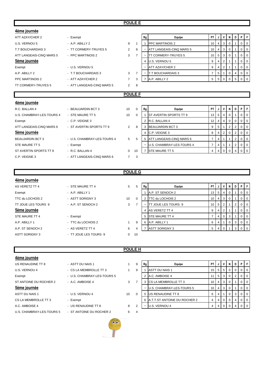### **POULE E**

| 4ème journée              |                             |                |                |                |                                  |                |                |                |          |                 |              |                |
|---------------------------|-----------------------------|----------------|----------------|----------------|----------------------------------|----------------|----------------|----------------|----------|-----------------|--------------|----------------|
| <b>ATT AZAY/CHER 2</b>    | - Exempt                    |                |                | Rg             | Equipe                           | <b>PT</b>      |                | V              | N        | D I             | PF           |                |
| U.S. VERNOU 5             | - A.P. ABILLY 2             | 9              | -1             |                | <b>PPC MARTINOIS 2</b>           | 10             | $\overline{4}$ | 3              | 0        |                 | $\mathbf 0$  | l 0            |
| T.T BOUCHARDAIS 3         | - TT CORMERY-TRUYES 5       | $\overline{2}$ | 8              |                | ATT LANGEAIS-CINQ MARS 5         | 10             |                | 3              | 0        |                 | 0            | $\overline{0}$ |
| ATT LANGEAIS-CINQ MARS 5  | - PPC MARTINOIS 2           | 3              | $\overline{7}$ | $\blacksquare$ | <b>TT CORMERY-TRUYES 5</b>       | 10             | 5              | 3              | 0        |                 | 0            | <b>0</b>       |
| 5ème journée              |                             |                |                | 4              | U.S. VERNOU 5                    | 9              | 4              | $\overline{2}$ |          |                 | $\mathbf{0}$ | I 0            |
| Exempt                    | - U.S. VERNOU 5             |                |                |                | <b>ATT AZAY/CHER 2</b>           | 9              | 4              | $\overline{2}$ |          |                 | 0            | $\overline{0}$ |
| A.P. ABILLY 2             | - T.T BOUCHARDAIS 3         | 3              | $\overline{7}$ |                | <b>T.T BOUCHARDAIS 3</b>         | $\overline{7}$ | 5              |                | 0        | 4               | 0            | 0              |
| PPC MARTINOIS 2           | - ATT AZAY/CHER 2           | $\overline{7}$ | 3              | $\overline{7}$ | A.P. ABILLY 2                    | 5              | 5 <sup>1</sup> | $\mathbf 0$    | 0        | $5\overline{5}$ | $0$   0      |                |
| TT CORMERY-TRUYES 5       | - ATT LANGEAIS-CINQ MARS 5  | $\overline{2}$ | 8              |                |                                  |                |                |                |          |                 |              |                |
|                           |                             |                |                |                |                                  |                |                |                |          |                 |              |                |
|                           |                             |                | <b>POULE F</b> |                |                                  |                |                |                |          |                 |              |                |
| <u>4ème journée</u>       |                             |                |                |                |                                  |                |                |                |          |                 |              |                |
| R.C. BALLAN 4             | - BEAUJARDIN BCT 3          | 10             | 0              | Rg             | Equipe                           | <b>PT</b>      |                | ٧              | N        | D I             | <b>P</b> IF  |                |
| U.S. CHAMBRAY-LES-TOURS 4 | - STE MAURE TT 5            | 10             | $\Omega$       |                | <b>ST AVERTIN SPORTS TT 9</b>    | 13             | 5              | 4              | 0        |                 | 0            | $\overline{0}$ |
| Exempt                    | $-$ C.P. VEIGNE 3           |                |                | 2              | R.C. BALLAN 4                    | 12             | 4              | 4              | 0        | 0               | 0            | l 0            |
| ATT LANGEAIS-CINQ MARS 6  | - ST AVERTIN SPORTS TT 9    | $\overline{2}$ | 8              | 3              | <b>BEAUJARDIN BCT 3</b>          | 9              | 5              | $\mathbf{1}$   | 2        | 2               | 0            | $\overline{0}$ |
| Sème journée              |                             |                |                | $\Delta$       | C.P. VEIGNE 3                    | 8              | 4              | 2              | 0        | 2               | 0            | <b>0</b>       |
| <b>BEAUJARDIN BCT 3</b>   | - U.S. CHAMBRAY-LES-TOURS 4 | 5              | 5              | 5              | <b>ATT LANGEAIS-CINQ MARS 6</b>  | $\overline{7}$ | 4              | 1              |          | $\overline{2}$  | 0            | $\overline{0}$ |
| STE MAURE TT 5            | - Exempt                    |                |                |                | <b>U.S. CHAMBRAY-LES-TOURS 4</b> | 7              | 4              | 1              |          | 2               | 0            | $\overline{0}$ |
| ST AVERTIN SPORTS TT 9    | - R.C. BALLAN 4             | 0              | 10             | $\overline{7}$ | <b>STE MAURE TT 5</b>            | 4              | 4              | $\Omega$       | $\Omega$ | 4               | $01$ 0       |                |

# **POULE G**

# **4ème journée**

A.P. ST SENOCH 2 - AS VERETZ TT 4 6 ASTT SORIGNY 3 - TT JOUE LES TOURS 9 0 10

**4ème journée** US RENAUDINE TT 8

| Exempt              | $-$ A.P. ABILLY 1  |    |
|---------------------|--------------------|----|
| TTC du LOCHOIS 2    | - ASTT SORIGNY 3   | 10 |
| TT JOUE LES TOURS 9 | - A.P. ST SENOCH 2 | 3  |
| 5ème journée        |                    |    |
| STE MAURE TT 4      | - Exempt           |    |
| A.P. ABILLY 1       | - TTC du LOCHOIS 2 | 1  |
|                     |                    |    |

| <b>TUNIC IOUNIUS</b>  |                     |    |      |    |                       |                 |                |                |          |   |                |                |
|-----------------------|---------------------|----|------|----|-----------------------|-----------------|----------------|----------------|----------|---|----------------|----------------|
| AS VERETZ TT 4        | - STE MAURE TT 4    | 5  | 5    | Rg | Equipe                | PT I            | J              | 1 V I          | - N      | D | PIF            |                |
| Exempt                | - A.P. ABILLY 1     |    |      |    | A.P. ST SENOCH 2      | 13              | 5 <sub>1</sub> | -41            | -0       |   |                | $0$   0        |
| TTC du LOCHOIS 2      | - ASTT SORIGNY 3    | 10 | 0    |    | TTC du LOCHOIS 2      | 10              | 4 <sup>1</sup> | 3              |          |   | $\overline{0}$ | $\overline{0}$ |
| TT JOUE LES TOURS 9   | - A.P. ST SENOCH 2  | 3  |      |    | TT JOUE LES TOURS 9   | 10 <sup>1</sup> | 51             | <u>2</u>       |          |   |                | $01$ 0         |
| 5ème journée          |                     |    |      |    | AS VERETZ TT 4        | 9               | $\overline{4}$ |                |          |   |                | $01$ 0         |
| STE MAURE TT 4        | - Exempt            |    |      |    | 5 ISTE MAURE TT 4     |                 | $\overline{4}$ | $\overline{0}$ | - 3      |   |                | $01$ 0         |
| A.P. ABILLY 1         | - TTC du LOCHOIS 2  |    | 9    | 6  | A.P. ABILLY 1         | 6               | 4              |                | $\Omega$ | 3 |                | $01$ 0         |
| A.P. ST SENOCH 2      | - AS VERETZ TT 4    | 6  | 4    |    | <b>ASTT SORIGNY 3</b> |                 | 4              |                |          | 3 |                | $0$ 0          |
| <b>ACTT CODICAIVO</b> | TT IOUT LES TOUDS A |    | 0.10 |    |                       |                 |                |                |          |   |                |                |

# **POULE H**

| TVIIIV  VWIIIVV           |                             |    |   |
|---------------------------|-----------------------------|----|---|
| US RENAUDINE TT 8         | - ASTT DU NAIS 1            | 1  | 9 |
| U.S. VERNOU 4             | - CS LA MEMBROLLE TT 3      | 1  | 9 |
| Exempt                    | - U.S. CHAMBRAY-LES-TOURS 5 |    |   |
| ST ANTOINE DU ROCHER 2    | - A.C. AMBOISE 4            | 3  | 7 |
| 5ème journée              |                             |    |   |
| ASTT DU NAIS 1            | - U.S. VERNOU 4             | 10 | 0 |
| CS LA MEMBROLLE TT 3      | - Exempt                    |    |   |
| A.C. AMBOISE 4            | - US RENAUDINE TT 8         | 8  | 2 |
| U.S. CHAMBRAY-LES-TOURS 5 | - ST ANTOINE DU ROCHER 2    | 6  | 4 |
|                           |                             |    |   |



| US RENAUDINE TT 8      | - ASTT DU NAIS 1            |    | 9 | Rg | Equipe                           | <b>PT</b>       |   | V   | N            | D | PIF       |                  |
|------------------------|-----------------------------|----|---|----|----------------------------------|-----------------|---|-----|--------------|---|-----------|------------------|
| U.S. VERNOU 4          | - CS LA MEMBROLLE TT 3      |    | 9 |    | <b>ASTT DU NAIS 1</b>            | 15 I            | 5 | -5  | 0            |   |           | 0 <sub>0</sub>   |
| Exempt                 | - U.S. CHAMBRAY-LES-TOURS 5 |    |   |    | 2 A.C. AMBOISE 4                 |                 | 5 | - 3 | $\mathbf{0}$ |   | $0$   $0$ |                  |
| ST ANTOINE DU ROCHER 2 | - A.C. AMBOISE 4            | 3  |   |    | 3 ICS LA MEMBROLLE TT 3          | 10 <sub>l</sub> | 4 | -3  | $\Omega$     |   |           | $\overline{1}$ 0 |
| 5ème journée           |                             |    |   |    | <b>U.S. CHAMBRAY-LES-TOURS 5</b> | 10 I            | 4 | -3  | $\Omega$     |   |           | 0 <sub>0</sub>   |
| ASTT DU NAIS 1         | - U.S. VERNOU 4             | 10 |   | 5  | US RENAUDINE TT 8                | 6               |   |     | $\Omega$     | 3 | $0$   $0$ |                  |
| CS LA MEMBROLLE TT 3   | - Exempt                    |    |   |    | 6 A.T.T.ST ANTOINE DU ROCHER 2   |                 |   |     | $\mathbf{0}$ |   | $0$   $0$ |                  |
| A.C. AMBOISE 4         | - US RENAUDINE TT 8         | 8  |   |    | U.S. VERNOU 4                    |                 |   |     |              |   |           | 0 <sub>0</sub>   |
|                        |                             |    |   |    |                                  |                 |   |     |              |   |           |                  |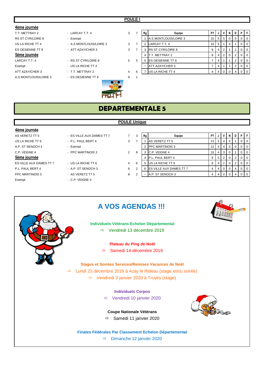#### **POULE I**

## **4ème journée**

T.T. METTRAY 2 **And A PT A LARCAY T.T. 4** 3 RS ST CYR/LOIRE 8 - Exempt US LA RICHE TT 4 **A.S MONTLOUIS/LOIRE 3** 3 ES OESIENNE TT 8 - ATT AZAY/CHER 3 3 **5ème journée** LARCAY T.T. 4 **EXECUTE:** RS ST CYR/LOIRE 8 5

# Exempt - US LA RICHE TT 4

A.S. MONTLOUIS/LOIRE 3 - ES OESIENNE TT 8 9 1



| 7              | Rg             | Equipe                   | PT |   | ν              | N        | D              | Ρ | F        |
|----------------|----------------|--------------------------|----|---|----------------|----------|----------------|---|----------|
|                | 1              | A.S MONTLOUIS/LOIRE 3    | 15 | 5 | 5              | 0        | 0              | 0 | $\Omega$ |
| $\overline{7}$ | 2              | LARCAY T.T. 4            | 10 | 5 | 1              | 3        | 1              | 0 | $\Omega$ |
| 7              | 3              | <b>RS ST CYR/LOIRE 8</b> | 9  | 4 | $\overline{2}$ | 1        | 1              | 0 | $\Omega$ |
|                | $\overline{4}$ | T.T. METTRAY 2           | 8  | 4 | $\overline{2}$ | $\Omega$ | $\overline{2}$ | 0 | $\Omega$ |
| 5              | 5              | ES OESIENNE TT 8         | 7  | 4 | 1              | 1        | $\overline{2}$ | 0 | $\Omega$ |
|                |                | ATT AZAY/CHER 3          |    | 4 | 4              | 1        | $\overline{2}$ | 0 | $\Omega$ |
| 6              |                | US LA RICHE TT 4         |    |   | 0              | 0        | 4              | 0 | $\Omega$ |

# **DEPARTEMENTALE 5**

#### **4ème journée**

AS VERETZ TT 5 **FOR AUX DAMES TT 7** 3 7 US LA RICHE TT 6  $-$  P.L. PAUL BERT 4 3 A.P. ST SENOCH 3 - Exempt C.P. VEIGNE 4 - PPC MARTINOIS 3 2

#### 5ème journée

ES VILLE AUX DAMES TT 7 - US LA RICHE TT 6 4 4 P.L. PAUL BERT 4 - A.P. ST SENOCH 3 8 PPC MARTINOIS 3 **AS VERETZ TT 5** 3 Exempt - C.P. VEIGNE 4

# **POULE Unique**

| 3 | Rg             | Equipe                  | PT | J | ν              | N        | D | P |  |
|---|----------------|-------------------------|----|---|----------------|----------|---|---|--|
| 7 |                | AS VERETZ TT 5          | 13 | 5 | 4              | $\Omega$ | 1 | O |  |
|   | 2              | <b>PPC MARTINOIS 3</b>  | 12 | 4 | 4              | $\Omega$ | 0 | 0 |  |
| 8 | 3              | C.P. VEIGNE 4           | 10 | 4 | 3              | 0        | 1 | O |  |
|   | $\overline{4}$ | P.L. PAUL BERT 4        | 9  | 5 | $\overline{2}$ | $\Omega$ | 3 | 0 |  |
| 6 | 5              | US LA RICHE TT 6        | 8  | 4 | 2              | $\Omega$ | 2 | 0 |  |
| 2 | 6              | ES VILLE AUX DAMES TT 7 | 4  | 4 | 0              | 0        | 4 | 0 |  |
| 2 |                | A.P. ST SENOCH 3        | 4  | 4 | 0              | 0        | 4 |   |  |

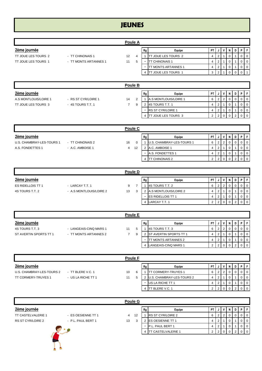# **JEUNES**

|                       | <b>Poule A</b>        |                |   |    |                             |           |   |   |          |             |                   |                |
|-----------------------|-----------------------|----------------|---|----|-----------------------------|-----------|---|---|----------|-------------|-------------------|----------------|
| 2ème journée          |                       |                |   | Rg | Equipe                      | <b>PT</b> |   | ۷ | N        | D I         | P                 | - F            |
| TT JOUE LES TOURS 2   | - TT CHINONAIS 1      | 12             | 4 |    | TT JOUE LES TOURS 2         | 4         |   |   | 0        |             | 0                 | $\overline{0}$ |
| TT JOUE LES TOURS 1   | - TT MONTS ARTANNES 1 | 11             | 5 |    | <b>TT CHINONAIS 1</b>       | 4         | 2 |   | 0        |             | 0                 | $\overline{0}$ |
|                       |                       |                |   |    | TT MONTS ARTANNES 1         | 4         |   |   | 0        |             | 0                 | $\overline{0}$ |
|                       |                       |                |   | 4  | <b>ITT JOUE LES TOURS 1</b> | 3         |   |   | $\Omega$ | $\Omega$    | $\Omega$          |                |
|                       |                       | Poule B        |   |    |                             |           |   |   |          |             |                   |                |
| 2ème journée          |                       |                |   | Rg | Equipe                      | <b>PT</b> | J | ۷ | N.       | D I         | $\cdot$ P $\cdot$ | 1.51           |
| A.S MONTLOUIS/LOIRE 1 | - RS ST CYR/LOIRE 1   | 14             | 2 |    | A.S MONTLOUIS/LOIRE 1       | 6         |   | 2 | 0        | $\mathbf 0$ | $\Omega$          | $\Omega$       |
| TT JOUE LES TOURS 3   | $-4S$ TOURS T.T. 1    | $\overline{7}$ | 9 | 2  | 4S TOURS T.T. 1             | 4         | 2 |   | 0        |             | $\overline{0}$    | l 0            |
|                       |                       |                |   | ۰  | <b>RS ST CYR/LOIRE 1</b>    | 4         |   |   | $\Omega$ |             | $\mathbf 0$       | $\overline{0}$ |
|                       |                       |                |   | 4  | <b>ITT JOUE LES TOURS 3</b> | 2         |   | 0 |          | 2           |                   | $\overline{0}$ |

|                           | Poule C          |         |    |                           |           |  |                |  |  |  |  |  |  |
|---------------------------|------------------|---------|----|---------------------------|-----------|--|----------------|--|--|--|--|--|--|
| 2ème journée              |                  |         | Rg | Equipe                    | <b>PT</b> |  | v              |  |  |  |  |  |  |
| U.S. CHAMBRAY-LES-TOURS 1 | - TT CHINONAIS 2 | 16      |    | U.S. CHAMBRAY-LES-TOURS 1 | 6         |  |                |  |  |  |  |  |  |
| A.S. FONDETTES 1          | - A.C. AMBOISE 1 | 4<br>12 |    | A.C. AMBOISE 1            |           |  |                |  |  |  |  |  |  |
|                           |                  |         |    | A.S. FONDETTES 1          |           |  |                |  |  |  |  |  |  |
|                           |                  |         |    | TT CHINONAIS 2            | ◠         |  | $\overline{0}$ |  |  |  |  |  |  |

|                   | Poule D                 |    |  |                          |                          |    |  |  |            |  |  |                  |  |
|-------------------|-------------------------|----|--|--------------------------|--------------------------|----|--|--|------------|--|--|------------------|--|
| 2ème journée      |                         |    |  | Rg                       | Equipe                   | P1 |  |  | N          |  |  |                  |  |
| ES RIDELLOIS TT 1 | - LARCAY T.T. 1         | 9  |  |                          | 4S TOURS T.T. 2          | 6  |  |  |            |  |  | $\overline{0}$   |  |
| 4S TOURS T.T. 2   | - A.S MONTLOUIS/LOIRE 2 | 13 |  |                          | A.S MONTLOUIS/LOIRE 2    | 4  |  |  | v          |  |  |                  |  |
|                   |                         |    |  | $\overline{\phantom{a}}$ | <b>ES RIDELLOIS TT 1</b> | 4  |  |  | $^{\rm o}$ |  |  | $\overline{1}$ 0 |  |
|                   |                         |    |  |                          | 4 LARCAY T.T. 1          |    |  |  |            |  |  |                  |  |

|                        | Poule E                |    |   |    |                                |           |   |                |     |  |   |          |  |
|------------------------|------------------------|----|---|----|--------------------------------|-----------|---|----------------|-----|--|---|----------|--|
| 2ème journée           |                        |    |   | Rg | Equipe                         | <b>PT</b> |   | v              | N I |  | D |          |  |
| 4S TOURS T.T. 3        | - LANGEAIS-CINQ MARS 1 | 11 |   |    | 4S TOURS T.T. 3                | 6         |   |                |     |  |   |          |  |
| ST AVERTIN SPORTS TT 1 | - TT MONTS ARTANNES 2  |    | 9 |    | <b>IST AVERTIN SPORTS TT 1</b> | 4         |   |                |     |  |   | $\Omega$ |  |
|                        |                        |    |   |    | TT MONTS ARTANNES 2            | 4         | ∠ |                |     |  |   | - 0      |  |
|                        |                        |    |   |    | LANGEAIS-CINQ MARS 1           | 2         | ∠ | 0 <sup>1</sup> |     |  |   |          |  |

|                            | <b>Poule F</b>     |    |    |                             |      |   |  |  |   |   |                                                     |  |  |
|----------------------------|--------------------|----|----|-----------------------------|------|---|--|--|---|---|-----------------------------------------------------|--|--|
| 2ème journée               |                    |    | Rg | Equipe                      | PT I |   |  |  | D | D |                                                     |  |  |
| U.S. CHAMBRAY-LES-TOURS 2  | - TT BLERE V.C. 1  | 10 |    | <b>CORMERY-TRUYES 1</b>     | 6    | 2 |  |  |   |   | $\overline{\phantom{0}}$ 0 $\overline{\phantom{0}}$ |  |  |
| <b>TT CORMERY-TRUYES 1</b> | - US LA RICHE TT 1 | 11 |    | U.S. CHAMBRAY-LES-TOURS 2   |      |   |  |  |   |   | $\overline{0}$                                      |  |  |
|                            |                    |    |    | US LA RICHE TT 1            |      |   |  |  |   |   | $\mathbf{0}$                                        |  |  |
|                            |                    |    |    | <b>T BLERE V.C. 1</b><br>IТ |      |   |  |  |   |   | $\overline{0}$                                      |  |  |

|                           | Poule G            |         |    |                           |           |   |  |  |  |  |  |  |  |
|---------------------------|--------------------|---------|----|---------------------------|-----------|---|--|--|--|--|--|--|--|
| 2ème journée              |                    |         | Rg | Equipe                    | <b>PT</b> |   |  |  |  |  |  |  |  |
| <b>TT CASTELVALERIE 1</b> | - ES OESIENNE TT 1 | 4<br>12 |    | <b>RS ST CYR/LOIRE 2</b>  | 6         |   |  |  |  |  |  |  |  |
| <b>RS ST CYR/LOIRE 2</b>  | - P.L. PAUL BERT 1 | 13<br>3 |    | <b>IES OESIENNE TT 1</b>  | 4         |   |  |  |  |  |  |  |  |
|                           |                    |         | -  | P.L. PAUL BERT 1          | 4         |   |  |  |  |  |  |  |  |
|                           |                    |         |    | <b>IT CASTELVALERIE 1</b> | 2         | ົ |  |  |  |  |  |  |  |

K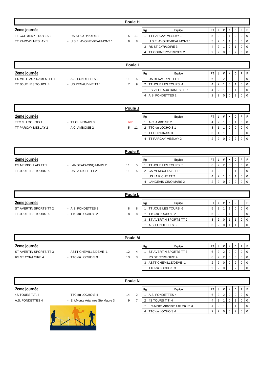|                         |                            | Poule H        |    |    |                            |                |                |                |             |   |                |                |
|-------------------------|----------------------------|----------------|----|----|----------------------------|----------------|----------------|----------------|-------------|---|----------------|----------------|
| 2ème journée            |                            |                |    | Rg | Equipe                     | PT I           | J              |                | N           | D | P              | F              |
| TT CORMERY-TRUYES 2     | - RS ST CYR/LOIRE 3        | 5              | 11 |    | <b>TT PARCAY MESLAY 1</b>  | 5              | 2              |                |             | 0 | $\mathbf{0}$   | 0              |
| TT PARCAY MESLAY 1      | - U.S.E. AVOINE-BEAUMONT 1 | 8              | 8  |    | U.S.E. AVOINE-BEAUMONT 1   | 5              | 2              |                |             | 0 | 0              | $\mathbf 0$    |
|                         |                            |                |    | 3  | <b>RS ST CYR/LOIRE 3</b>   | 4              | 2              |                | 0           |   | $\mathbf{0}$   | $\mathbf 0$    |
|                         |                            |                |    | 4  | <b>TT CORMERY-TRUYES 2</b> | 2              | $\overline{2}$ | 0              |             | 2 | 0              | $\overline{0}$ |
|                         |                            |                |    |    |                            |                |                |                |             |   |                |                |
|                         |                            | Poule I        |    |    |                            |                |                |                |             |   |                |                |
| 2ème journée            |                            |                |    | Rg | Equipe                     | PT I           | J              | v              | N           | D | P.             | F              |
| ES VILLE AUX DAMES TT 1 | - A.S. FONDETTES 2         | 11             | 5  |    | US RENAUDINE TT 1          | 6              | 2              | $\overline{2}$ | 0           | 0 | $\overline{0}$ | $\overline{0}$ |
| TT JOUE LES TOURS 4     | - US RENAUDINE TT 1        | $\overline{7}$ | 9  | 2  | <b>TT JOUE LES TOURS 4</b> | 4              | 2              |                | 0           |   | $\overline{0}$ | $\overline{0}$ |
|                         |                            |                |    | ٠  | ES VILLE AUX DAMES TT 1    | 4              | 2              |                | $\mathbf 0$ |   | $\overline{0}$ | $\mathbf 0$    |
|                         |                            |                |    |    | 4 A.S. FONDETTES 2         | $\overline{2}$ | $\overline{2}$ |                |             |   | $\overline{0}$ | $\overline{0}$ |

|                    |                  | Poule J   |    |                           |           |   |   |  |  |
|--------------------|------------------|-----------|----|---------------------------|-----------|---|---|--|--|
| 2ème journée       |                  |           | Rg | Equipe                    | <b>PT</b> | v | N |  |  |
| TTC du LOCHOIS 1   | - TT CHINONAIS 3 | <b>NP</b> |    | A.C. AMBOISE 2            | 4         |   |   |  |  |
| TT PARCAY MESLAY 2 | - A.C. AMBOISE 2 | 5<br>11   |    | <b>ITTC du LOCHOIS 1</b>  | 3         |   |   |  |  |
|                    |                  |           | ۰  | <b>TT CHINONAIS 3</b>     | ು         |   |   |  |  |
|                    |                  |           | 4  | <b>TT PARCAY MESLAY 2</b> |           |   |   |  |  |

|                     | <b>Poule K</b>         |    |              |    |                            |           |  |                |  |  |     |  |  |
|---------------------|------------------------|----|--------------|----|----------------------------|-----------|--|----------------|--|--|-----|--|--|
| 2ème journée        |                        |    |              | Rg | Equipe                     | <b>PT</b> |  | V <sub>1</sub> |  |  | DIP |  |  |
| CS MEMBOLLAIS TT 1  | - LANGEAIS-CINQ MARS 2 | 11 |              |    | JOUE LES TOURS 5           | 6         |  |                |  |  |     |  |  |
| TT JOUE LES TOURS 5 | - US LA RICHE TT 2     | 11 | <sub>5</sub> |    | <b>ICS MEMBOLLAIS TT 1</b> |           |  |                |  |  |     |  |  |
|                     |                        |    |              |    | US LA RICHE TT 2           |           |  |                |  |  |     |  |  |
|                     |                        |    |              |    | LANGEAIS-CINQ MARS 2       | ົ         |  |                |  |  |     |  |  |

|                        |                    | Poule L |    |                               |           |            |   |  |                |
|------------------------|--------------------|---------|----|-------------------------------|-----------|------------|---|--|----------------|
| 2ème journée           |                    |         | Rg | Equipe                        | <b>PT</b> |            | N |  |                |
| ST AVERTIN SPORTS TT 2 | - A.S. FONDETTES 3 | 8       |    | TT JOUE LES TOURS 6           | 5         |            |   |  | $\overline{0}$ |
| TT JOUE LES TOURS 6    | - TTC du LOCHOIS 2 | 8<br>-8 | -  | TTC du LOCHOIS 2              | 5         |            |   |  | $\overline{0}$ |
|                        |                    |         |    | <b>ST AVERTIN SPORTS TT 2</b> | 3         | $\epsilon$ |   |  | 1 O            |
|                        |                    |         | ۰  | A.S. FONDETTES 3              | 3         | ◠          |   |  |                |

|                          |                        | Poule M           |    |                                |          |  |  |  |
|--------------------------|------------------------|-------------------|----|--------------------------------|----------|--|--|--|
| 2ème journée             |                        |                   | Rg | Equipe                         | PT       |  |  |  |
| ST AVERTIN SPORTS TT 3   | - ASTT CHEMILLE/DEME 1 | $12 \overline{ }$ |    | <b>IST AVERTIN SPORTS TT 3</b> | 6        |  |  |  |
| <b>RS ST CYR/LOIRE 4</b> | - TTC du LOCHOIS 3     | 13                | -  | <b>RS ST CYR/LOIRE 4</b>       | 6        |  |  |  |
|                          |                        |                   | 3  | ASTT CHEMILLE/DEME 1           |          |  |  |  |
|                          |                        |                   | -  | <b>ITTC du LOCHOIS 3</b>       | $\Omega$ |  |  |  |

|                  |                                   | Poule N |    |                                 |           |   |  |  |  |
|------------------|-----------------------------------|---------|----|---------------------------------|-----------|---|--|--|--|
| 2ème journée     |                                   |         | Rg | Equipe                          | <b>PT</b> |   |  |  |  |
| 4S TOURS T.T. 4  | - TTC du LOCHOIS 4                | 14      |    | A.S. FONDETTES 4                | 6         | ◠ |  |  |  |
| A.S. FONDETTES 4 | - Ent. Monts Artannes Ste Maure 3 | 9       |    | 4S TOURS T.T. 4                 | 4         |   |  |  |  |
|                  |                                   |         | -  | Ent. Monts Artannes Ste Maure 3 | 4         |   |  |  |  |
|                  |                                   |         |    | <b>ITTC du LOCHOIS 4</b>        |           |   |  |  |  |